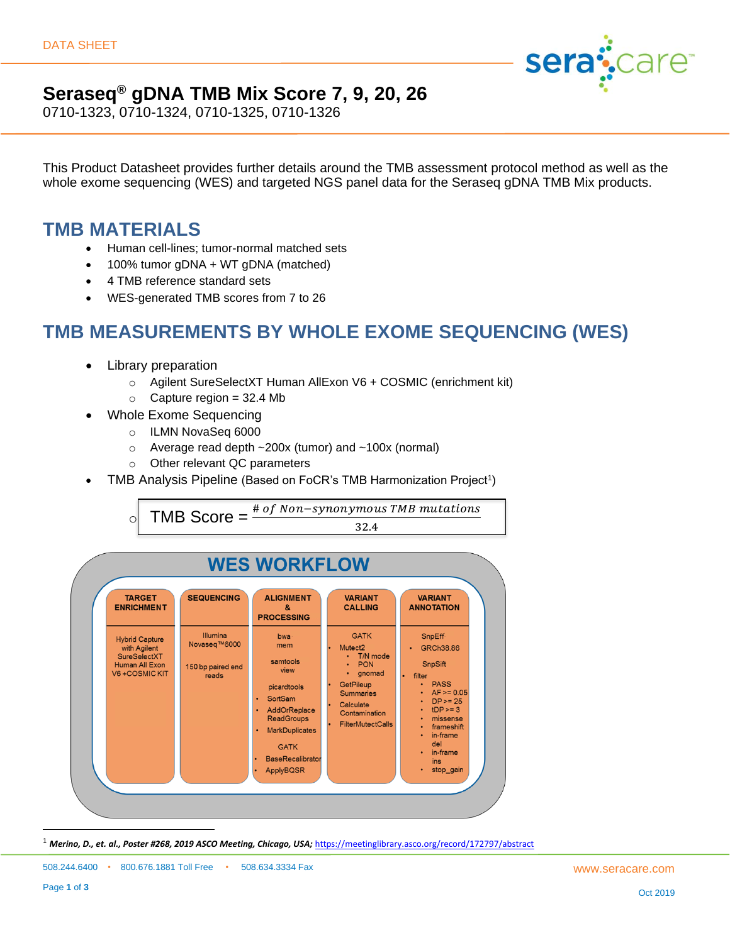

### **Seraseq® gDNA TMB Mix Score 7, 9, 20, 26**

0710-1323, 0710-1324, 0710-1325, 0710-1326

This Product Datasheet provides further details around the TMB assessment protocol method as well as the whole exome sequencing (WES) and targeted NGS panel data for the Seraseq gDNA TMB Mix products.

#### **TMB MATERIALS**

- Human cell-lines; tumor-normal matched sets
- 100% tumor gDNA + WT gDNA (matched)
- 4 TMB reference standard sets
- WES-generated TMB scores from 7 to 26

### **TMB MEASUREMENTS BY WHOLE EXOME SEQUENCING (WES)**

- Library preparation
	- o Agilent SureSelectXT Human AllExon V6 + COSMIC (enrichment kit)
	- $\circ$  Capture region = 32.4 Mb
- Whole Exome Sequencing
	- o ILMN NovaSeq 6000
	- o Average read depth ~200x (tumor) and ~100x (normal)
	- o Other relevant QC parameters
- TMB Analysis Pipeline (Based on FoCR's TMB Harmonization Project<sup>1</sup>)

 $\circ$  TMB Score =  $\frac{\text{\# of Non-synonymous TMB mutations}}{\text{+ or in the image}}$ 32.4



<sup>1</sup> Merino, D., et. al., Poster #268, 2019 ASCO Meeting, Chicago, USA; <https://meetinglibrary.asco.org/record/172797/abstract>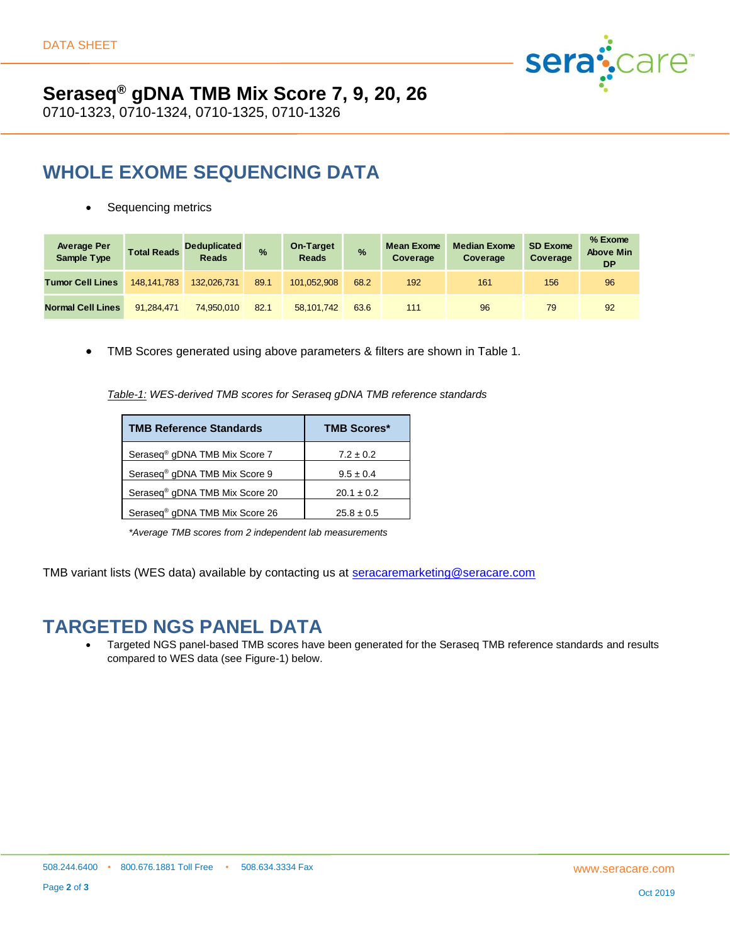

# **Seraseq® gDNA TMB Mix Score 7, 9, 20, 26**

0710-1323, 0710-1324, 0710-1325, 0710-1326

## **WHOLE EXOME SEQUENCING DATA**

Sequencing metrics

| <b>Average Per</b><br><b>Sample Type</b> | <b>Total Reads</b> | Deduplicated<br><b>Reads</b> | $\frac{9}{6}$ | On-Target<br><b>Reads</b> | $\frac{9}{6}$ | <b>Mean Exome</b><br>Coverage | <b>Median Exome</b><br>Coverage | <b>SD Exome</b><br>Coverage | % Exome<br><b>Above Min</b><br><b>DP</b> |
|------------------------------------------|--------------------|------------------------------|---------------|---------------------------|---------------|-------------------------------|---------------------------------|-----------------------------|------------------------------------------|
| <b>Tumor Cell Lines</b>                  | 148.141.783        | 132.026.731                  | 89.1          | 101.052.908               | 68.2          | 192                           | 161                             | 156                         | 96                                       |
| <b>Normal Cell Lines</b>                 | 91.284.471         | 74.950.010                   | 82.1          | 58.101.742                | 63.6          | 111                           | 96                              | 79                          | 92                                       |

• TMB Scores generated using above parameters & filters are shown in Table 1.

*Table-1: WES-derived TMB scores for Seraseq gDNA TMB reference standards*

| <b>TMB Reference Standards</b>             | <b>TMB Scores*</b> |  |  |  |
|--------------------------------------------|--------------------|--|--|--|
| Seraseq <sup>®</sup> gDNA TMB Mix Score 7  | $7.2 \pm 0.2$      |  |  |  |
| Seraseq <sup>®</sup> gDNA TMB Mix Score 9  | $9.5 \pm 0.4$      |  |  |  |
| Seraseq <sup>®</sup> gDNA TMB Mix Score 20 | $20.1 \pm 0.2$     |  |  |  |
| Seraseq <sup>®</sup> qDNA TMB Mix Score 26 | $25.8 \pm 0.5$     |  |  |  |

*\*Average TMB scores from 2 independent lab measurements*

TMB variant lists (WES data) available by contacting us at [seracaremarketing@seracare.com](mailto:seracaremarketing@seracare.com)

#### **TARGETED NGS PANEL DATA**

• Targeted NGS panel-based TMB scores have been generated for the Seraseq TMB reference standards and results compared to WES data (see Figure-1) below.